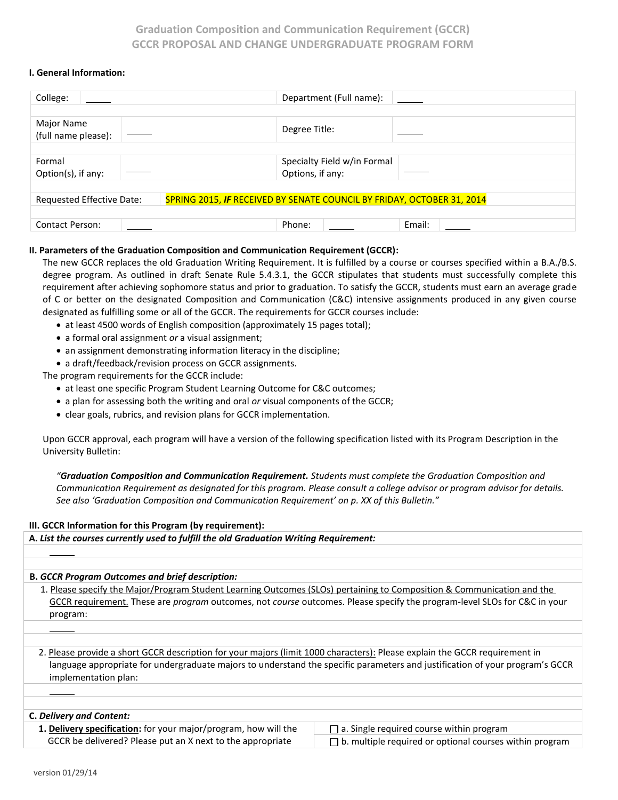## **Graduation Composition and Communication Requirement (GCCR) GCCR PROPOSAL AND CHANGE UNDERGRADUATE PROGRAM FORM**

### **I. General Information:**

| College:                                                                                            | Department (Full name):     |  |  |  |
|-----------------------------------------------------------------------------------------------------|-----------------------------|--|--|--|
|                                                                                                     |                             |  |  |  |
| Major Name<br>(full name please):                                                                   | Degree Title:               |  |  |  |
|                                                                                                     |                             |  |  |  |
| Formal                                                                                              | Specialty Field w/in Formal |  |  |  |
| Option(s), if any:                                                                                  | Options, if any:            |  |  |  |
|                                                                                                     |                             |  |  |  |
| Requested Effective Date:<br>SPRING 2015, IF RECEIVED BY SENATE COUNCIL BY FRIDAY, OCTOBER 31, 2014 |                             |  |  |  |
|                                                                                                     |                             |  |  |  |
| <b>Contact Person:</b>                                                                              | Phone:<br>Email:            |  |  |  |

### **II. Parameters of the Graduation Composition and Communication Requirement (GCCR):**

The new GCCR replaces the old Graduation Writing Requirement. It is fulfilled by a course or courses specified within a B.A./B.S. degree program. As outlined in draft Senate Rule 5.4.3.1, the GCCR stipulates that students must successfully complete this requirement after achieving sophomore status and prior to graduation. To satisfy the GCCR, students must earn an average grade of C or better on the designated Composition and Communication (C&C) intensive assignments produced in any given course designated as fulfilling some or all of the GCCR. The requirements for GCCR courses include:

- at least 4500 words of English composition (approximately 15 pages total);
- a formal oral assignment *or* a visual assignment;
- an assignment demonstrating information literacy in the discipline;
- a draft/feedback/revision process on GCCR assignments.

The program requirements for the GCCR include:

- at least one specific Program Student Learning Outcome for C&C outcomes;
- a plan for assessing both the writing and oral *or* visual components of the GCCR;
- clear goals, rubrics, and revision plans for GCCR implementation.

Upon GCCR approval, each program will have a version of the following specification listed with its Program Description in the University Bulletin:

*"Graduation Composition and Communication Requirement. Students must complete the Graduation Composition and Communication Requirement as designated for this program. Please consult a college advisor or program advisor for details. See also 'Graduation Composition and Communication Requirement' on p. XX of this Bulletin."*

### **III. GCCR Information for this Program (by requirement):**

**A.** *List the courses currently used to fulfill the old Graduation Writing Requirement:*

### **B.** *GCCR Program Outcomes and brief description:*

1. Please specify the Major/Program Student Learning Outcomes (SLOs) pertaining to Composition & Communication and the GCCR requirement. These are *program* outcomes, not *course* outcomes. Please specify the program-level SLOs for C&C in your program:

2. Please provide a short GCCR description for your majors (limit 1000 characters): Please explain the GCCR requirement in language appropriate for undergraduate majors to understand the specific parameters and justification of your program's GCCR implementation plan:

### **C.** *Delivery and Content:*

**1. Delivery specification:** for your major/program, how will the GCCR be delivered? Please put an X next to the appropriate

 $\Box$  a. Single required course within program  $\Box$  b. multiple required or optional courses within program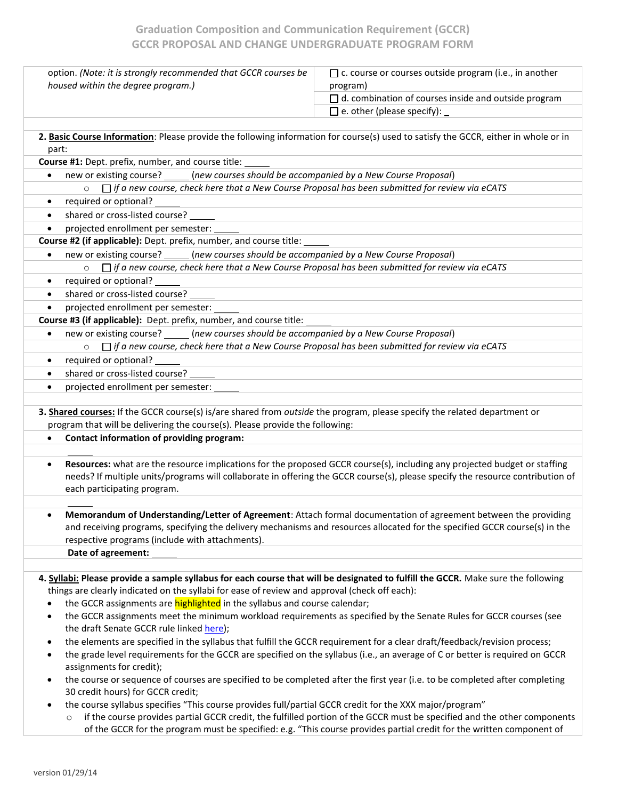# **Graduation Composition and Communication Requirement (GCCR) GCCR PROPOSAL AND CHANGE UNDERGRADUATE PROGRAM FORM**

| option. (Note: it is strongly recommended that GCCR courses be                                                                                                                                            | $\Box$ c. course or courses outside program (i.e., in another                                                                                                                                                                                               |  |  |  |
|-----------------------------------------------------------------------------------------------------------------------------------------------------------------------------------------------------------|-------------------------------------------------------------------------------------------------------------------------------------------------------------------------------------------------------------------------------------------------------------|--|--|--|
| housed within the degree program.)                                                                                                                                                                        | program)                                                                                                                                                                                                                                                    |  |  |  |
|                                                                                                                                                                                                           | $\Box$ d. combination of courses inside and outside program                                                                                                                                                                                                 |  |  |  |
|                                                                                                                                                                                                           | $\Box$ e. other (please specify): _                                                                                                                                                                                                                         |  |  |  |
|                                                                                                                                                                                                           |                                                                                                                                                                                                                                                             |  |  |  |
| 2. Basic Course Information: Please provide the following information for course(s) used to satisfy the GCCR, either in whole or in<br>part:                                                              |                                                                                                                                                                                                                                                             |  |  |  |
| Course #1: Dept. prefix, number, and course title:                                                                                                                                                        |                                                                                                                                                                                                                                                             |  |  |  |
| (new courses should be accompanied by a New Course Proposal)<br>new or existing course? _<br>$\bullet$                                                                                                    |                                                                                                                                                                                                                                                             |  |  |  |
| $\Box$ if a new course, check here that a New Course Proposal has been submitted for review via eCATS<br>$\circ$                                                                                          |                                                                                                                                                                                                                                                             |  |  |  |
| required or optional?<br>$\bullet$                                                                                                                                                                        |                                                                                                                                                                                                                                                             |  |  |  |
| shared or cross-listed course?<br>$\bullet$                                                                                                                                                               |                                                                                                                                                                                                                                                             |  |  |  |
| projected enrollment per semester:<br>$\bullet$                                                                                                                                                           |                                                                                                                                                                                                                                                             |  |  |  |
| Course #2 (if applicable): Dept. prefix, number, and course title:                                                                                                                                        |                                                                                                                                                                                                                                                             |  |  |  |
| new or existing course? _____(new courses should be accompanied by a New Course Proposal)<br>٠                                                                                                            |                                                                                                                                                                                                                                                             |  |  |  |
| $\Box$ if a new course, check here that a New Course Proposal has been submitted for review via eCATS<br>$\circ$                                                                                          |                                                                                                                                                                                                                                                             |  |  |  |
| required or optional? _____<br>$\bullet$                                                                                                                                                                  |                                                                                                                                                                                                                                                             |  |  |  |
| shared or cross-listed course?<br>$\bullet$                                                                                                                                                               |                                                                                                                                                                                                                                                             |  |  |  |
| projected enrollment per semester:                                                                                                                                                                        |                                                                                                                                                                                                                                                             |  |  |  |
| Course #3 (if applicable): Dept. prefix, number, and course title:                                                                                                                                        |                                                                                                                                                                                                                                                             |  |  |  |
| new or existing course? _____(new courses should be accompanied by a New Course Proposal)<br>$\bullet$                                                                                                    |                                                                                                                                                                                                                                                             |  |  |  |
| $\Box$ if a new course, check here that a New Course Proposal has been submitted for review via eCATS<br>$\circ$                                                                                          |                                                                                                                                                                                                                                                             |  |  |  |
| required or optional?<br>$\bullet$                                                                                                                                                                        |                                                                                                                                                                                                                                                             |  |  |  |
| shared or cross-listed course?                                                                                                                                                                            |                                                                                                                                                                                                                                                             |  |  |  |
| projected enrollment per semester:                                                                                                                                                                        |                                                                                                                                                                                                                                                             |  |  |  |
|                                                                                                                                                                                                           |                                                                                                                                                                                                                                                             |  |  |  |
| 3. Shared courses: If the GCCR course(s) is/are shared from outside the program, please specify the related department or<br>program that will be delivering the course(s). Please provide the following: |                                                                                                                                                                                                                                                             |  |  |  |
| Contact information of providing program:<br>$\bullet$                                                                                                                                                    |                                                                                                                                                                                                                                                             |  |  |  |
|                                                                                                                                                                                                           |                                                                                                                                                                                                                                                             |  |  |  |
| $\bullet$<br>each participating program.                                                                                                                                                                  | Resources: what are the resource implications for the proposed GCCR course(s), including any projected budget or staffing<br>needs? If multiple units/programs will collaborate in offering the GCCR course(s), please specify the resource contribution of |  |  |  |
|                                                                                                                                                                                                           |                                                                                                                                                                                                                                                             |  |  |  |
| respective programs (include with attachments).                                                                                                                                                           | Memorandum of Understanding/Letter of Agreement: Attach formal documentation of agreement between the providing<br>and receiving programs, specifying the delivery mechanisms and resources allocated for the specified GCCR course(s) in the               |  |  |  |
| Date of agreement:                                                                                                                                                                                        |                                                                                                                                                                                                                                                             |  |  |  |
|                                                                                                                                                                                                           |                                                                                                                                                                                                                                                             |  |  |  |
| 4. Syllabi: Please provide a sample syllabus for each course that will be designated to fulfill the GCCR. Make sure the following                                                                         |                                                                                                                                                                                                                                                             |  |  |  |
| things are clearly indicated on the syllabi for ease of review and approval (check off each):                                                                                                             |                                                                                                                                                                                                                                                             |  |  |  |
| the GCCR assignments are <b>highlighted</b> in the syllabus and course calendar;                                                                                                                          |                                                                                                                                                                                                                                                             |  |  |  |
| the GCCR assignments meet the minimum workload requirements as specified by the Senate Rules for GCCR courses (see<br>$\bullet$<br>the draft Senate GCCR rule linked here);                               |                                                                                                                                                                                                                                                             |  |  |  |
| the elements are specified in the syllabus that fulfill the GCCR requirement for a clear draft/feedback/revision process;<br>$\bullet$                                                                    |                                                                                                                                                                                                                                                             |  |  |  |
| ٠<br>assignments for credit);                                                                                                                                                                             | the grade level requirements for the GCCR are specified on the syllabus (i.e., an average of C or better is required on GCCR                                                                                                                                |  |  |  |
| the course or sequence of courses are specified to be completed after the first year (i.e. to be completed after completing<br>$\bullet$<br>30 credit hours) for GCCR credit;                             |                                                                                                                                                                                                                                                             |  |  |  |
| the course syllabus specifies "This course provides full/partial GCCR credit for the XXX major/program"                                                                                                   |                                                                                                                                                                                                                                                             |  |  |  |
| $\circ$                                                                                                                                                                                                   | if the course provides partial GCCR credit, the fulfilled portion of the GCCR must be specified and the other components                                                                                                                                    |  |  |  |
|                                                                                                                                                                                                           | of the GCCR for the program must be specified: e.g. "This course provides partial credit for the written component of                                                                                                                                       |  |  |  |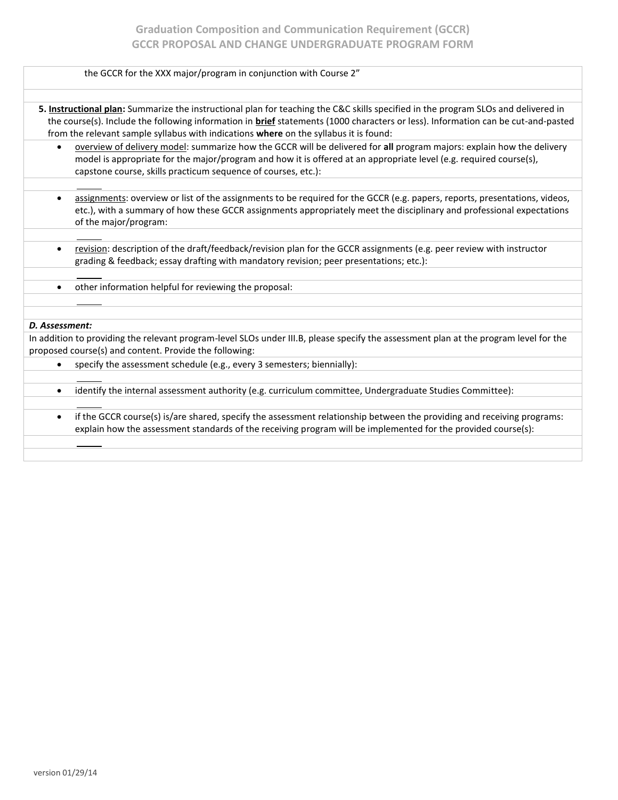| the GCCR for the XXX major/program in conjunction with Course 2"                                                                                                                                                                                                                                                                                                 |
|------------------------------------------------------------------------------------------------------------------------------------------------------------------------------------------------------------------------------------------------------------------------------------------------------------------------------------------------------------------|
|                                                                                                                                                                                                                                                                                                                                                                  |
| 5. Instructional plan: Summarize the instructional plan for teaching the C&C skills specified in the program SLOs and delivered in<br>the course(s). Include the following information in brief statements (1000 characters or less). Information can be cut-and-pasted<br>from the relevant sample syllabus with indications where on the syllabus it is found: |
| overview of delivery model: summarize how the GCCR will be delivered for all program majors: explain how the delivery<br>$\bullet$<br>model is appropriate for the major/program and how it is offered at an appropriate level (e.g. required course(s),<br>capstone course, skills practicum sequence of courses, etc.):                                        |
| assignments: overview or list of the assignments to be required for the GCCR (e.g. papers, reports, presentations, videos,<br>$\bullet$<br>etc.), with a summary of how these GCCR assignments appropriately meet the disciplinary and professional expectations<br>of the major/program:                                                                        |
| revision: description of the draft/feedback/revision plan for the GCCR assignments (e.g. peer review with instructor<br>$\bullet$<br>grading & feedback; essay drafting with mandatory revision; peer presentations; etc.):                                                                                                                                      |
| other information helpful for reviewing the proposal:<br>$\bullet$                                                                                                                                                                                                                                                                                               |
|                                                                                                                                                                                                                                                                                                                                                                  |
| D. Assessment:                                                                                                                                                                                                                                                                                                                                                   |
| In addition to providing the relevant program-level SLOs under III.B, please specify the assessment plan at the program level for the                                                                                                                                                                                                                            |
| proposed course(s) and content. Provide the following:                                                                                                                                                                                                                                                                                                           |
| specify the assessment schedule (e.g., every 3 semesters; biennially):<br>$\bullet$                                                                                                                                                                                                                                                                              |
| identify the internal assessment authority (e.g. curriculum committee, Undergraduate Studies Committee):<br>$\bullet$                                                                                                                                                                                                                                            |
|                                                                                                                                                                                                                                                                                                                                                                  |
| if the GCCR course(s) is/are shared, specify the assessment relationship between the providing and receiving programs:<br>$\bullet$<br>explain how the assessment standards of the receiving program will be implemented for the provided course(s):                                                                                                             |
|                                                                                                                                                                                                                                                                                                                                                                  |